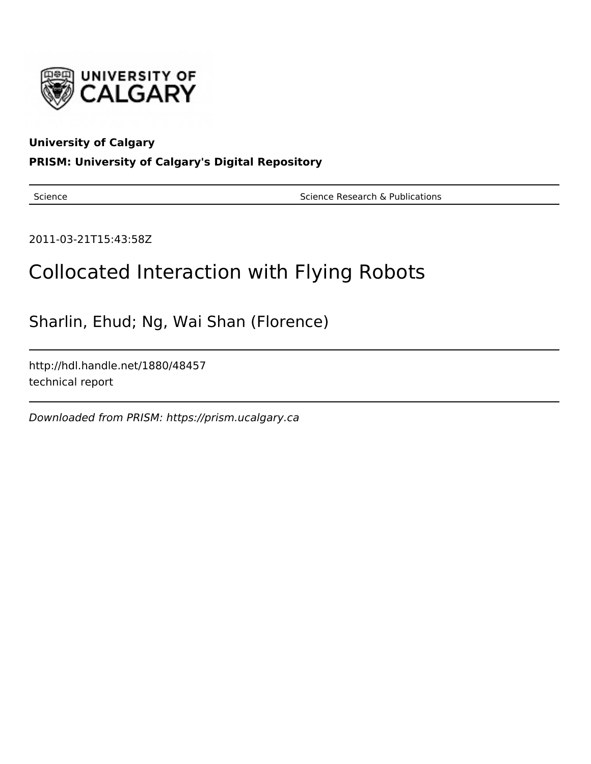

## **University of Calgary**

## **PRISM: University of Calgary's Digital Repository**

Science **Science Research & Publications** Science Research & Publications

2011-03-21T15:43:58Z

# Collocated Interaction with Flying Robots

Sharlin, Ehud; Ng, Wai Shan (Florence)

http://hdl.handle.net/1880/48457 technical report

Downloaded from PRISM: https://prism.ucalgary.ca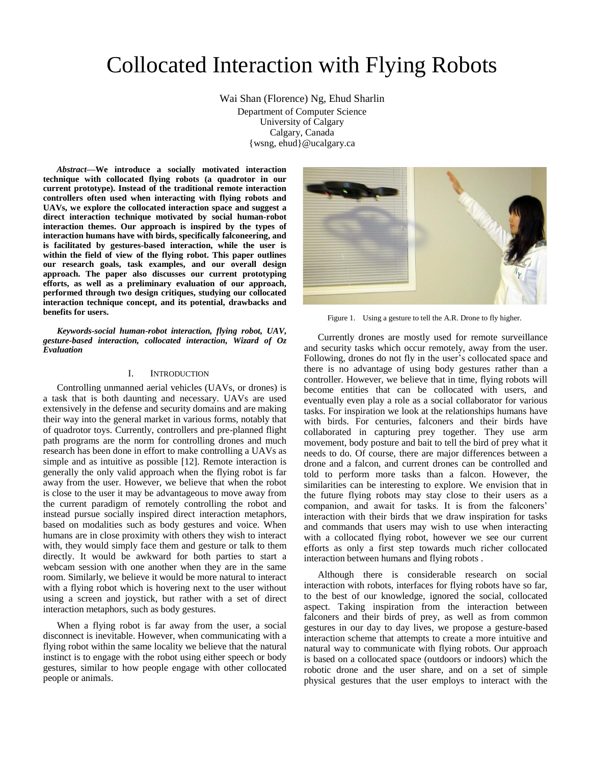## Collocated Interaction with Flying Robots

Wai Shan (Florence) Ng, Ehud Sharlin Department of Computer Science University of Calgary Calgary, Canada {wsng, ehud}@ucalgary.ca

*Abstract***—We introduce a socially motivated interaction technique with collocated flying robots (a quadrotor in our current prototype). Instead of the traditional remote interaction controllers often used when interacting with flying robots and UAVs, we explore the collocated interaction space and suggest a direct interaction technique motivated by social human-robot interaction themes. Our approach is inspired by the types of interaction humans have with birds, specifically falconeering, and is facilitated by gestures-based interaction, while the user is within the field of view of the flying robot. This paper outlines our research goals, task examples, and our overall design approach. The paper also discusses our current prototyping efforts, as well as a preliminary evaluation of our approach, performed through two design critiques, studying our collocated interaction technique concept, and its potential, drawbacks and benefits for users.**

*Keywords-social human-robot interaction, flying robot, UAV, gesture-based interaction, collocated interaction, Wizard of Oz Evaluation*

#### I. INTRODUCTION

Controlling unmanned aerial vehicles (UAVs, or drones) is a task that is both daunting and necessary. UAVs are used extensively in the defense and security domains and are making their way into the general market in various forms, notably that of quadrotor toys. Currently, controllers and pre-planned flight path programs are the norm for controlling drones and much research has been done in effort to make controlling a UAVs as simple and as intuitive as possible [12]. Remote interaction is generally the only valid approach when the flying robot is far away from the user. However, we believe that when the robot is close to the user it may be advantageous to move away from the current paradigm of remotely controlling the robot and instead pursue socially inspired direct interaction metaphors, based on modalities such as body gestures and voice. When humans are in close proximity with others they wish to interact with, they would simply face them and gesture or talk to them directly. It would be awkward for both parties to start a webcam session with one another when they are in the same room. Similarly, we believe it would be more natural to interact with a flying robot which is hovering next to the user without using a screen and joystick, but rather with a set of direct interaction metaphors, such as body gestures.

When a flying robot is far away from the user, a social disconnect is inevitable. However, when communicating with a flying robot within the same locality we believe that the natural instinct is to engage with the robot using either speech or body gestures, similar to how people engage with other collocated people or animals.



Figure 1. Using a gesture to tell the A.R. Drone to fly higher.

Currently drones are mostly used for remote surveillance and security tasks which occur remotely, away from the user. Following, drones do not fly in the user's collocated space and there is no advantage of using body gestures rather than a controller. However, we believe that in time, flying robots will become entities that can be collocated with users, and eventually even play a role as a social collaborator for various tasks. For inspiration we look at the relationships humans have with birds. For centuries, falconers and their birds have collaborated in capturing prey together. They use arm movement, body posture and bait to tell the bird of prey what it needs to do. Of course, there are major differences between a drone and a falcon, and current drones can be controlled and told to perform more tasks than a falcon. However, the similarities can be interesting to explore. We envision that in the future flying robots may stay close to their users as a companion, and await for tasks. It is from the falconers' interaction with their birds that we draw inspiration for tasks and commands that users may wish to use when interacting with a collocated flying robot, however we see our current efforts as only a first step towards much richer collocated interaction between humans and flying robots .

Although there is considerable research on social interaction with robots, interfaces for flying robots have so far, to the best of our knowledge, ignored the social, collocated aspect. Taking inspiration from the interaction between falconers and their birds of prey, as well as from common gestures in our day to day lives, we propose a gesture-based interaction scheme that attempts to create a more intuitive and natural way to communicate with flying robots. Our approach is based on a collocated space (outdoors or indoors) which the robotic drone and the user share, and on a set of simple physical gestures that the user employs to interact with the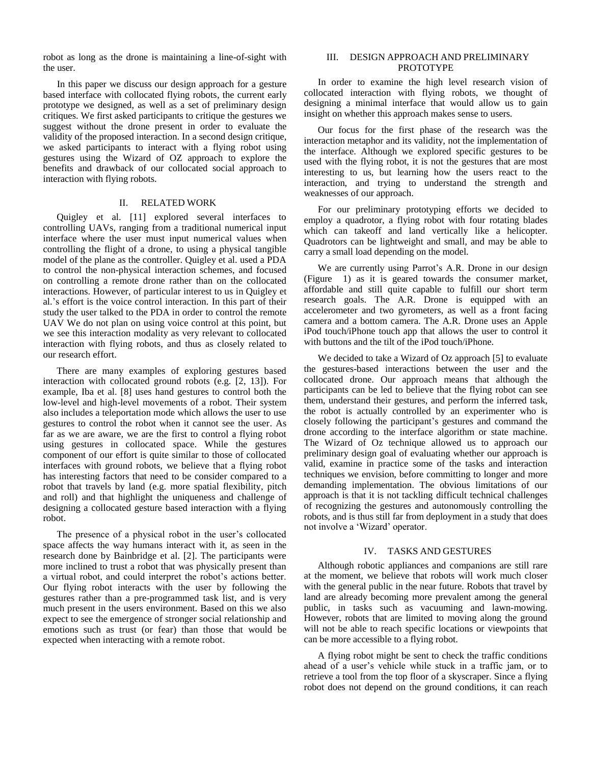robot as long as the drone is maintaining a line-of-sight with the user.

In this paper we discuss our design approach for a gesture based interface with collocated flying robots, the current early prototype we designed, as well as a set of preliminary design critiques. We first asked participants to critique the gestures we suggest without the drone present in order to evaluate the validity of the proposed interaction. In a second design critique, we asked participants to interact with a flying robot using gestures using the Wizard of OZ approach to explore the benefits and drawback of our collocated social approach to interaction with flying robots.

#### II. RELATED WORK

Quigley et al. [11] explored several interfaces to controlling UAVs, ranging from a traditional numerical input interface where the user must input numerical values when controlling the flight of a drone, to using a physical tangible model of the plane as the controller. Quigley et al. used a PDA to control the non-physical interaction schemes, and focused on controlling a remote drone rather than on the collocated interactions. However, of particular interest to us in Quigley et al."s effort is the voice control interaction. In this part of their study the user talked to the PDA in order to control the remote UAV We do not plan on using voice control at this point, but we see this interaction modality as very relevant to collocated interaction with flying robots, and thus as closely related to our research effort.

There are many examples of exploring gestures based interaction with collocated ground robots (e.g. [2, 13]). For example, Iba et al. [8] uses hand gestures to control both the low-level and high-level movements of a robot. Their system also includes a teleportation mode which allows the user to use gestures to control the robot when it cannot see the user. As far as we are aware, we are the first to control a flying robot using gestures in collocated space. While the gestures component of our effort is quite similar to those of collocated interfaces with ground robots, we believe that a flying robot has interesting factors that need to be consider compared to a robot that travels by land (e.g. more spatial flexibility, pitch and roll) and that highlight the uniqueness and challenge of designing a collocated gesture based interaction with a flying robot.

The presence of a physical robot in the user's collocated space affects the way humans interact with it, as seen in the research done by Bainbridge et al. [2]. The participants were more inclined to trust a robot that was physically present than a virtual robot, and could interpret the robot"s actions better. Our flying robot interacts with the user by following the gestures rather than a pre-programmed task list, and is very much present in the users environment. Based on this we also expect to see the emergence of stronger social relationship and emotions such as trust (or fear) than those that would be expected when interacting with a remote robot.

#### III. DESIGN APPROACH AND PRELIMINARY PROTOTYPE

In order to examine the high level research vision of collocated interaction with flying robots, we thought of designing a minimal interface that would allow us to gain insight on whether this approach makes sense to users.

Our focus for the first phase of the research was the interaction metaphor and its validity, not the implementation of the interface. Although we explored specific gestures to be used with the flying robot, it is not the gestures that are most interesting to us, but learning how the users react to the interaction, and trying to understand the strength and weaknesses of our approach.

For our preliminary prototyping efforts we decided to employ a quadrotor, a flying robot with four rotating blades which can takeoff and land vertically like a helicopter. Quadrotors can be lightweight and small, and may be able to carry a small load depending on the model.

We are currently using Parrot's A.R. Drone in our design (Figure 1) as it is geared towards the consumer market, affordable and still quite capable to fulfill our short term research goals. The A.R. Drone is equipped with an accelerometer and two gyrometers, as well as a front facing camera and a bottom camera. The A.R. Drone uses an Apple iPod touch/iPhone touch app that allows the user to control it with buttons and the tilt of the iPod touch/iPhone.

We decided to take a Wizard of Oz approach [5] to evaluate the gestures-based interactions between the user and the collocated drone. Our approach means that although the participants can be led to believe that the flying robot can see them, understand their gestures, and perform the inferred task, the robot is actually controlled by an experimenter who is closely following the participant"s gestures and command the drone according to the interface algorithm or state machine. The Wizard of Oz technique allowed us to approach our preliminary design goal of evaluating whether our approach is valid, examine in practice some of the tasks and interaction techniques we envision, before committing to longer and more demanding implementation. The obvious limitations of our approach is that it is not tackling difficult technical challenges of recognizing the gestures and autonomously controlling the robots, and is thus still far from deployment in a study that does not involve a "Wizard" operator.

#### IV. TASKS AND GESTURES

Although robotic appliances and companions are still rare at the moment, we believe that robots will work much closer with the general public in the near future. Robots that travel by land are already becoming more prevalent among the general public, in tasks such as vacuuming and lawn-mowing. However, robots that are limited to moving along the ground will not be able to reach specific locations or viewpoints that can be more accessible to a flying robot.

A flying robot might be sent to check the traffic conditions ahead of a user"s vehicle while stuck in a traffic jam, or to retrieve a tool from the top floor of a skyscraper. Since a flying robot does not depend on the ground conditions, it can reach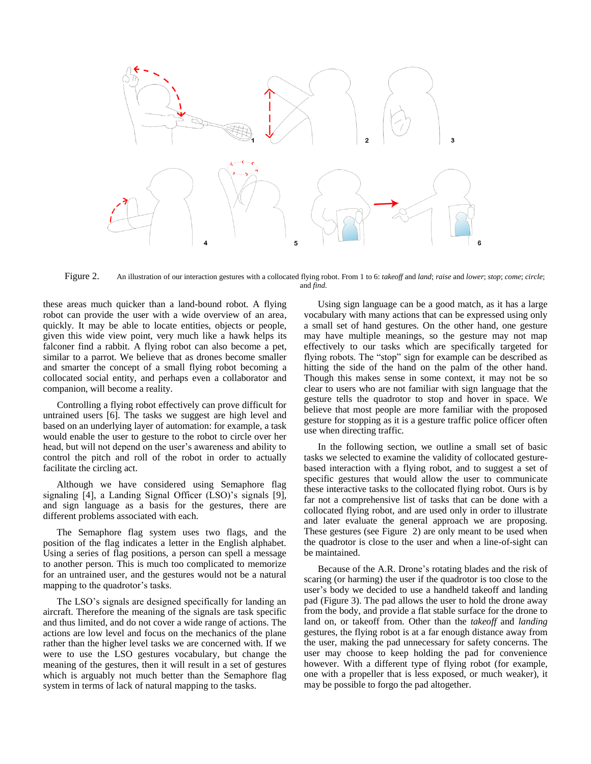

Figure 2. An illustration of our interaction gestures with a collocated flying robot. From 1 to 6: *takeoff* and *land*; *raise* and *lower*; *stop*; *come*; *circle*; and *find*.

these areas much quicker than a land-bound robot. A flying robot can provide the user with a wide overview of an area, quickly. It may be able to locate entities, objects or people, given this wide view point, very much like a hawk helps its falconer find a rabbit. A flying robot can also become a pet, similar to a parrot. We believe that as drones become smaller and smarter the concept of a small flying robot becoming a collocated social entity, and perhaps even a collaborator and companion, will become a reality.

Controlling a flying robot effectively can prove difficult for untrained users [6]. The tasks we suggest are high level and based on an underlying layer of automation: for example, a task would enable the user to gesture to the robot to circle over her head, but will not depend on the user's awareness and ability to control the pitch and roll of the robot in order to actually facilitate the circling act.

Although we have considered using Semaphore flag signaling [4], a Landing Signal Officer (LSO)'s signals [9], and sign language as a basis for the gestures, there are different problems associated with each.

The Semaphore flag system uses two flags, and the position of the flag indicates a letter in the English alphabet. Using a series of flag positions, a person can spell a message to another person. This is much too complicated to memorize for an untrained user, and the gestures would not be a natural mapping to the quadrotor's tasks.

The LSO"s signals are designed specifically for landing an aircraft. Therefore the meaning of the signals are task specific and thus limited, and do not cover a wide range of actions. The actions are low level and focus on the mechanics of the plane rather than the higher level tasks we are concerned with. If we were to use the LSO gestures vocabulary, but change the meaning of the gestures, then it will result in a set of gestures which is arguably not much better than the Semaphore flag system in terms of lack of natural mapping to the tasks.

Using sign language can be a good match, as it has a large vocabulary with many actions that can be expressed using only a small set of hand gestures. On the other hand, one gesture may have multiple meanings, so the gesture may not map effectively to our tasks which are specifically targeted for flying robots. The "stop" sign for example can be described as hitting the side of the hand on the palm of the other hand. Though this makes sense in some context, it may not be so clear to users who are not familiar with sign language that the gesture tells the quadrotor to stop and hover in space. We believe that most people are more familiar with the proposed gesture for stopping as it is a gesture traffic police officer often use when directing traffic.

In the following section, we outline a small set of basic tasks we selected to examine the validity of collocated gesturebased interaction with a flying robot, and to suggest a set of specific gestures that would allow the user to communicate these interactive tasks to the collocated flying robot. Ours is by far not a comprehensive list of tasks that can be done with a collocated flying robot, and are used only in order to illustrate and later evaluate the general approach we are proposing. These gestures (see Figure 2) are only meant to be used when the quadrotor is close to the user and when a line-of-sight can be maintained.

Because of the A.R. Drone"s rotating blades and the risk of scaring (or harming) the user if the quadrotor is too close to the user's body we decided to use a handheld takeoff and landing pad (Figure 3). The pad allows the user to hold the drone away from the body, and provide a flat stable surface for the drone to land on, or takeoff from. Other than the *takeoff* and *landing* gestures, the flying robot is at a far enough distance away from the user, making the pad unnecessary for safety concerns. The user may choose to keep holding the pad for convenience however. With a different type of flying robot (for example, one with a propeller that is less exposed, or much weaker), it may be possible to forgo the pad altogether.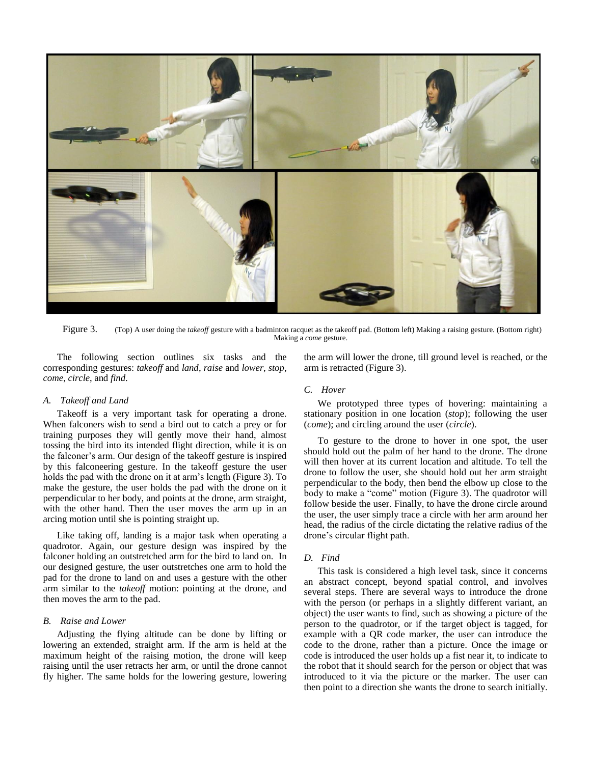

Figure 3. (Top) A user doing the *takeoff* gesture with a badminton racquet as the takeoff pad. (Bottom left) Making a raising gesture. (Bottom right) Making a *come* gesture.

The following section outlines six tasks and the corresponding gestures: *takeoff* and *land*, *raise* and *lower*, *stop*, *come*, *circle*, and *find*.

#### *A. Takeoff and Land*

Takeoff is a very important task for operating a drone. When falconers wish to send a bird out to catch a prey or for training purposes they will gently move their hand, almost tossing the bird into its intended flight direction, while it is on the falconer's arm. Our design of the takeoff gesture is inspired by this falconeering gesture. In the takeoff gesture the user holds the pad with the drone on it at arm"s length (Figure 3). To make the gesture, the user holds the pad with the drone on it perpendicular to her body, and points at the drone, arm straight, with the other hand. Then the user moves the arm up in an arcing motion until she is pointing straight up.

Like taking off, landing is a major task when operating a quadrotor. Again, our gesture design was inspired by the falconer holding an outstretched arm for the bird to land on. In our designed gesture, the user outstretches one arm to hold the pad for the drone to land on and uses a gesture with the other arm similar to the *takeoff* motion: pointing at the drone, and then moves the arm to the pad.

#### *B. Raise and Lower*

Adjusting the flying altitude can be done by lifting or lowering an extended, straight arm. If the arm is held at the maximum height of the raising motion, the drone will keep raising until the user retracts her arm, or until the drone cannot fly higher. The same holds for the lowering gesture, lowering the arm will lower the drone, till ground level is reached, or the arm is retracted (Figure 3).

#### *C. Hover*

We prototyped three types of hovering: maintaining a stationary position in one location (*stop*); following the user (*come*); and circling around the user (*circle*).

To gesture to the drone to hover in one spot, the user should hold out the palm of her hand to the drone. The drone will then hover at its current location and altitude. To tell the drone to follow the user, she should hold out her arm straight perpendicular to the body, then bend the elbow up close to the body to make a "come" motion (Figure 3). The quadrotor will follow beside the user. Finally, to have the drone circle around the user, the user simply trace a circle with her arm around her head, the radius of the circle dictating the relative radius of the drone"s circular flight path.

#### *D. Find*

This task is considered a high level task, since it concerns an abstract concept, beyond spatial control, and involves several steps. There are several ways to introduce the drone with the person (or perhaps in a slightly different variant, an object) the user wants to find, such as showing a picture of the person to the quadrotor, or if the target object is tagged, for example with a QR code marker, the user can introduce the code to the drone, rather than a picture. Once the image or code is introduced the user holds up a fist near it, to indicate to the robot that it should search for the person or object that was introduced to it via the picture or the marker. The user can then point to a direction she wants the drone to search initially.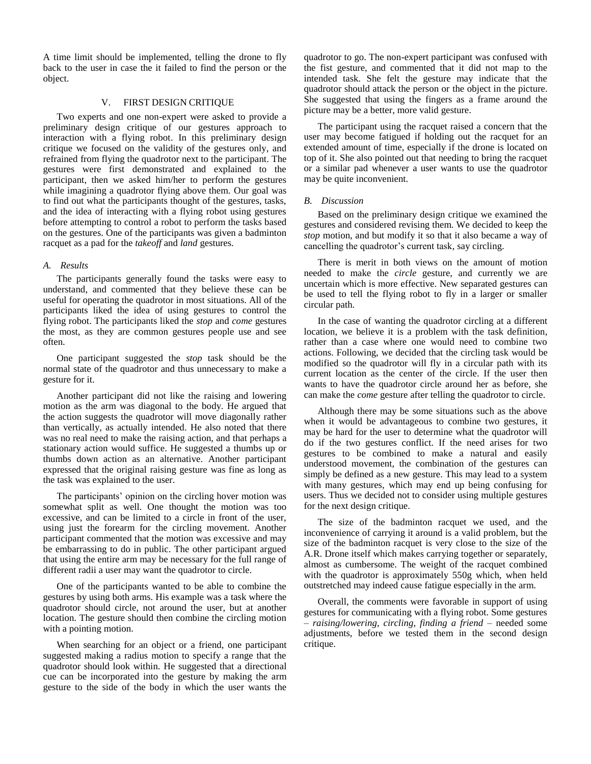A time limit should be implemented, telling the drone to fly back to the user in case the it failed to find the person or the object.

#### V. FIRST DESIGN CRITIQUE

Two experts and one non-expert were asked to provide a preliminary design critique of our gestures approach to interaction with a flying robot. In this preliminary design critique we focused on the validity of the gestures only, and refrained from flying the quadrotor next to the participant. The gestures were first demonstrated and explained to the participant, then we asked him/her to perform the gestures while imagining a quadrotor flying above them. Our goal was to find out what the participants thought of the gestures, tasks, and the idea of interacting with a flying robot using gestures before attempting to control a robot to perform the tasks based on the gestures. One of the participants was given a badminton racquet as a pad for the *takeoff* and *land* gestures.

#### *A. Results*

The participants generally found the tasks were easy to understand, and commented that they believe these can be useful for operating the quadrotor in most situations. All of the participants liked the idea of using gestures to control the flying robot. The participants liked the *stop* and *come* gestures the most, as they are common gestures people use and see often.

One participant suggested the *stop* task should be the normal state of the quadrotor and thus unnecessary to make a gesture for it.

Another participant did not like the raising and lowering motion as the arm was diagonal to the body. He argued that the action suggests the quadrotor will move diagonally rather than vertically, as actually intended. He also noted that there was no real need to make the raising action, and that perhaps a stationary action would suffice. He suggested a thumbs up or thumbs down action as an alternative. Another participant expressed that the original raising gesture was fine as long as the task was explained to the user.

The participants' opinion on the circling hover motion was somewhat split as well. One thought the motion was too excessive, and can be limited to a circle in front of the user, using just the forearm for the circling movement. Another participant commented that the motion was excessive and may be embarrassing to do in public. The other participant argued that using the entire arm may be necessary for the full range of different radii a user may want the quadrotor to circle.

One of the participants wanted to be able to combine the gestures by using both arms. His example was a task where the quadrotor should circle, not around the user, but at another location. The gesture should then combine the circling motion with a pointing motion.

When searching for an object or a friend, one participant suggested making a radius motion to specify a range that the quadrotor should look within. He suggested that a directional cue can be incorporated into the gesture by making the arm gesture to the side of the body in which the user wants the

quadrotor to go. The non-expert participant was confused with the fist gesture, and commented that it did not map to the intended task. She felt the gesture may indicate that the quadrotor should attack the person or the object in the picture. She suggested that using the fingers as a frame around the picture may be a better, more valid gesture.

The participant using the racquet raised a concern that the user may become fatigued if holding out the racquet for an extended amount of time, especially if the drone is located on top of it. She also pointed out that needing to bring the racquet or a similar pad whenever a user wants to use the quadrotor may be quite inconvenient.

#### *B. Discussion*

Based on the preliminary design critique we examined the gestures and considered revising them. We decided to keep the *stop* motion, and but modify it so that it also became a way of cancelling the quadrotor's current task, say circling.

There is merit in both views on the amount of motion needed to make the *circle* gesture, and currently we are uncertain which is more effective. New separated gestures can be used to tell the flying robot to fly in a larger or smaller circular path.

In the case of wanting the quadrotor circling at a different location, we believe it is a problem with the task definition, rather than a case where one would need to combine two actions. Following, we decided that the circling task would be modified so the quadrotor will fly in a circular path with its current location as the center of the circle. If the user then wants to have the quadrotor circle around her as before, she can make the *come* gesture after telling the quadrotor to circle.

Although there may be some situations such as the above when it would be advantageous to combine two gestures, it may be hard for the user to determine what the quadrotor will do if the two gestures conflict. If the need arises for two gestures to be combined to make a natural and easily understood movement, the combination of the gestures can simply be defined as a new gesture. This may lead to a system with many gestures, which may end up being confusing for users. Thus we decided not to consider using multiple gestures for the next design critique.

The size of the badminton racquet we used, and the inconvenience of carrying it around is a valid problem, but the size of the badminton racquet is very close to the size of the A.R. Drone itself which makes carrying together or separately, almost as cumbersome. The weight of the racquet combined with the quadrotor is approximately 550g which, when held outstretched may indeed cause fatigue especially in the arm.

Overall, the comments were favorable in support of using gestures for communicating with a flying robot. Some gestures – *raising/lowering*, *circling*, *finding a friend* – needed some adjustments, before we tested them in the second design critique.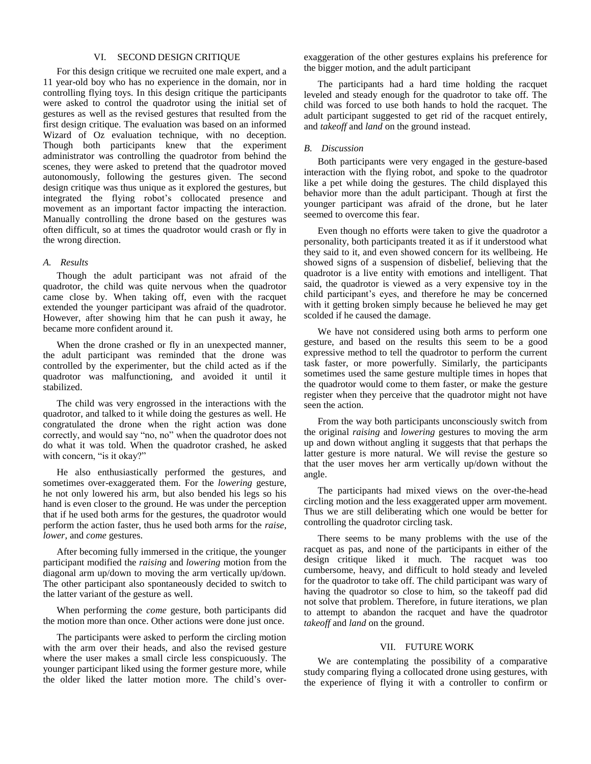#### VI. SECOND DESIGN CRITIQUE

For this design critique we recruited one male expert, and a 11 year-old boy who has no experience in the domain, nor in controlling flying toys. In this design critique the participants were asked to control the quadrotor using the initial set of gestures as well as the revised gestures that resulted from the first design critique. The evaluation was based on an informed Wizard of Oz evaluation technique, with no deception. Though both participants knew that the experiment administrator was controlling the quadrotor from behind the scenes, they were asked to pretend that the quadrotor moved autonomously, following the gestures given. The second design critique was thus unique as it explored the gestures, but integrated the flying robot"s collocated presence and movement as an important factor impacting the interaction. Manually controlling the drone based on the gestures was often difficult, so at times the quadrotor would crash or fly in the wrong direction.

#### *A. Results*

Though the adult participant was not afraid of the quadrotor, the child was quite nervous when the quadrotor came close by. When taking off, even with the racquet extended the younger participant was afraid of the quadrotor. However, after showing him that he can push it away, he became more confident around it.

When the drone crashed or fly in an unexpected manner, the adult participant was reminded that the drone was controlled by the experimenter, but the child acted as if the quadrotor was malfunctioning, and avoided it until it stabilized.

The child was very engrossed in the interactions with the quadrotor, and talked to it while doing the gestures as well. He congratulated the drone when the right action was done correctly, and would say "no, no" when the quadrotor does not do what it was told. When the quadrotor crashed, he asked with concern, "is it okay?"

He also enthusiastically performed the gestures, and sometimes over-exaggerated them. For the *lowering* gesture, he not only lowered his arm, but also bended his legs so his hand is even closer to the ground. He was under the perception that if he used both arms for the gestures, the quadrotor would perform the action faster, thus he used both arms for the *raise*, *lower*, and *come* gestures.

After becoming fully immersed in the critique, the younger participant modified the *raising* and *lowering* motion from the diagonal arm up/down to moving the arm vertically up/down. The other participant also spontaneously decided to switch to the latter variant of the gesture as well.

When performing the *come* gesture, both participants did the motion more than once. Other actions were done just once.

The participants were asked to perform the circling motion with the arm over their heads, and also the revised gesture where the user makes a small circle less conspicuously. The younger participant liked using the former gesture more, while the older liked the latter motion more. The child's overexaggeration of the other gestures explains his preference for the bigger motion, and the adult participant

The participants had a hard time holding the racquet leveled and steady enough for the quadrotor to take off. The child was forced to use both hands to hold the racquet. The adult participant suggested to get rid of the racquet entirely, and *takeoff* and *land* on the ground instead.

#### *B. Discussion*

Both participants were very engaged in the gesture-based interaction with the flying robot, and spoke to the quadrotor like a pet while doing the gestures. The child displayed this behavior more than the adult participant. Though at first the younger participant was afraid of the drone, but he later seemed to overcome this fear.

Even though no efforts were taken to give the quadrotor a personality, both participants treated it as if it understood what they said to it, and even showed concern for its wellbeing. He showed signs of a suspension of disbelief, believing that the quadrotor is a live entity with emotions and intelligent. That said, the quadrotor is viewed as a very expensive toy in the child participant's eyes, and therefore he may be concerned with it getting broken simply because he believed he may get scolded if he caused the damage.

We have not considered using both arms to perform one gesture, and based on the results this seem to be a good expressive method to tell the quadrotor to perform the current task faster, or more powerfully. Similarly, the participants sometimes used the same gesture multiple times in hopes that the quadrotor would come to them faster, or make the gesture register when they perceive that the quadrotor might not have seen the action.

From the way both participants unconsciously switch from the original *raising* and *lowering* gestures to moving the arm up and down without angling it suggests that that perhaps the latter gesture is more natural. We will revise the gesture so that the user moves her arm vertically up/down without the angle.

The participants had mixed views on the over-the-head circling motion and the less exaggerated upper arm movement. Thus we are still deliberating which one would be better for controlling the quadrotor circling task.

There seems to be many problems with the use of the racquet as pas, and none of the participants in either of the design critique liked it much. The racquet was too cumbersome, heavy, and difficult to hold steady and leveled for the quadrotor to take off. The child participant was wary of having the quadrotor so close to him, so the takeoff pad did not solve that problem. Therefore, in future iterations, we plan to attempt to abandon the racquet and have the quadrotor *takeoff* and *land* on the ground.

#### VII. FUTURE WORK

We are contemplating the possibility of a comparative study comparing flying a collocated drone using gestures, with the experience of flying it with a controller to confirm or